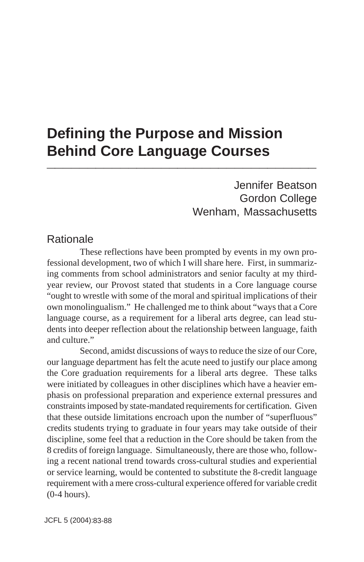# **Defining the Purpose and Mission Behind Core Language Courses \_\_\_\_\_\_\_\_\_\_\_\_\_\_\_\_\_\_\_\_\_\_\_\_\_\_\_\_\_\_\_\_\_**

Jennifer Beatson Gordon College Wenham, Massachusetts

## Rationale

These reflections have been prompted by events in my own professional development, two of which I will share here. First, in summarizing comments from school administrators and senior faculty at my thirdyear review, our Provost stated that students in a Core language course "ought to wrestle with some of the moral and spiritual implications of their own monolingualism." He challenged me to think about "ways that a Core language course, as a requirement for a liberal arts degree, can lead students into deeper reflection about the relationship between language, faith and culture."

Second, amidst discussions of ways to reduce the size of our Core, our language department has felt the acute need to justify our place among the Core graduation requirements for a liberal arts degree. These talks were initiated by colleagues in other disciplines which have a heavier emphasis on professional preparation and experience external pressures and constraints imposed by state-mandated requirements for certification. Given that these outside limitations encroach upon the number of "superfluous" credits students trying to graduate in four years may take outside of their discipline, some feel that a reduction in the Core should be taken from the 8 credits of foreign language. Simultaneously, there are those who, following a recent national trend towards cross-cultural studies and experiential or service learning, would be contented to substitute the 8-credit language requirement with a mere cross-cultural experience offered for variable credit (0-4 hours).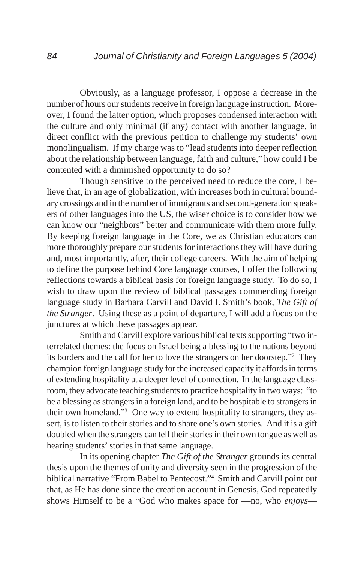Obviously, as a language professor, I oppose a decrease in the number of hours our students receive in foreign language instruction. Moreover, I found the latter option, which proposes condensed interaction with the culture and only minimal (if any) contact with another language, in direct conflict with the previous petition to challenge my students' own monolingualism. If my charge was to "lead students into deeper reflection about the relationship between language, faith and culture," how could I be contented with a diminished opportunity to do so?

Though sensitive to the perceived need to reduce the core, I believe that, in an age of globalization, with increases both in cultural boundary crossings and in the number of immigrants and second-generation speakers of other languages into the US, the wiser choice is to consider how we can know our "neighbors" better and communicate with them more fully. By keeping foreign language in the Core, we as Christian educators can more thoroughly prepare our students for interactions they will have during and, most importantly, after, their college careers. With the aim of helping to define the purpose behind Core language courses, I offer the following reflections towards a biblical basis for foreign language study. To do so, I wish to draw upon the review of biblical passages commending foreign language study in Barbara Carvill and David I. Smith's book, *The Gift of the Stranger*. Using these as a point of departure, I will add a focus on the junctures at which these passages appear.<sup>1</sup>

Smith and Carvill explore various biblical texts supporting "two interrelated themes: the focus on Israel being a blessing to the nations beyond its borders and the call for her to love the strangers on her doorstep."2 They champion foreign language study for the increased capacity it affords in terms of extending hospitality at a deeper level of connection. In the language classroom, they advocate teaching students to practice hospitality in two ways: "to be a blessing as strangers in a foreign land, and to be hospitable to strangers in their own homeland."3 One way to extend hospitality to strangers, they assert, is to listen to their stories and to share one's own stories. And it is a gift doubled when the strangers can tell their stories in their own tongue as well as hearing students' stories in that same language.

In its opening chapter *The Gift of the Stranger* grounds its central thesis upon the themes of unity and diversity seen in the progression of the biblical narrative "From Babel to Pentecost."4 Smith and Carvill point out that, as He has done since the creation account in Genesis, God repeatedly shows Himself to be a "God who makes space for —no, who *enjoys*—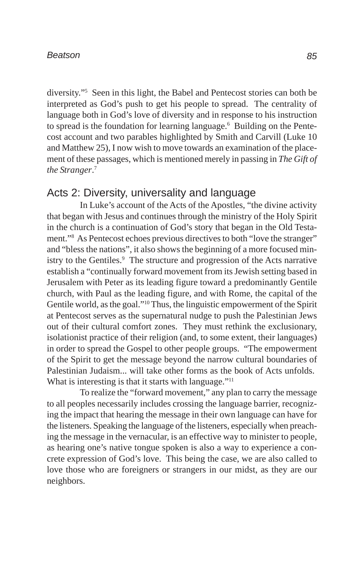### *Beatson*

diversity."5 Seen in this light, the Babel and Pentecost stories can both be interpreted as God's push to get his people to spread. The centrality of language both in God's love of diversity and in response to his instruction to spread is the foundation for learning language.<sup>6</sup> Building on the Pentecost account and two parables highlighted by Smith and Carvill (Luke 10 and Matthew 25), I now wish to move towards an examination of the placement of these passages, which is mentioned merely in passing in *The Gift of the Stranger*. 7

## Acts 2: Diversity, universality and language

In Luke's account of the Acts of the Apostles, "the divine activity that began with Jesus and continues through the ministry of the Holy Spirit in the church is a continuation of God's story that began in the Old Testament."8 As Pentecost echoes previous directives to both "love the stranger" and "bless the nations", it also shows the beginning of a more focused ministry to the Gentiles.<sup>9</sup> The structure and progression of the Acts narrative establish a "continually forward movement from its Jewish setting based in Jerusalem with Peter as its leading figure toward a predominantly Gentile church, with Paul as the leading figure, and with Rome, the capital of the Gentile world, as the goal."10 Thus, the linguistic empowerment of the Spirit at Pentecost serves as the supernatural nudge to push the Palestinian Jews out of their cultural comfort zones. They must rethink the exclusionary, isolationist practice of their religion (and, to some extent, their languages) in order to spread the Gospel to other people groups. "The empowerment of the Spirit to get the message beyond the narrow cultural boundaries of Palestinian Judaism... will take other forms as the book of Acts unfolds. What is interesting is that it starts with language."<sup>11</sup>

To realize the "forward movement," any plan to carry the message to all peoples necessarily includes crossing the language barrier, recognizing the impact that hearing the message in their own language can have for the listeners. Speaking the language of the listeners, especially when preaching the message in the vernacular, is an effective way to minister to people, as hearing one's native tongue spoken is also a way to experience a concrete expression of God's love. This being the case, we are also called to love those who are foreigners or strangers in our midst, as they are our neighbors.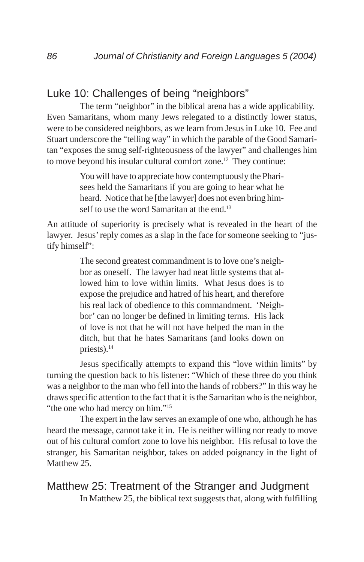# Luke 10: Challenges of being "neighbors"

The term "neighbor" in the biblical arena has a wide applicability. Even Samaritans, whom many Jews relegated to a distinctly lower status, were to be considered neighbors, as we learn from Jesus in Luke 10. Fee and Stuart underscore the "telling way" in which the parable of the Good Samaritan "exposes the smug self-righteousness of the lawyer" and challenges him to move beyond his insular cultural comfort zone.12 They continue:

> You will have to appreciate how contemptuously the Pharisees held the Samaritans if you are going to hear what he heard. Notice that he [the lawyer] does not even bring himself to use the word Samaritan at the end.<sup>13</sup>

An attitude of superiority is precisely what is revealed in the heart of the lawyer. Jesus' reply comes as a slap in the face for someone seeking to "justify himself":

> The second greatest commandment is to love one's neighbor as oneself. The lawyer had neat little systems that allowed him to love within limits. What Jesus does is to expose the prejudice and hatred of his heart, and therefore his real lack of obedience to this commandment. 'Neighbor' can no longer be defined in limiting terms. His lack of love is not that he will not have helped the man in the ditch, but that he hates Samaritans (and looks down on priests).<sup>14</sup>

Jesus specifically attempts to expand this "love within limits" by turning the question back to his listener: "Which of these three do you think was a neighbor to the man who fell into the hands of robbers?" In this way he draws specific attention to the fact that it is the Samaritan who is the neighbor, "the one who had mercy on him."<sup>15</sup>

The expert in the law serves an example of one who, although he has heard the message, cannot take it in. He is neither willing nor ready to move out of his cultural comfort zone to love his neighbor. His refusal to love the stranger, his Samaritan neighbor, takes on added poignancy in the light of Matthew 25

Matthew 25: Treatment of the Stranger and Judgment In Matthew 25, the biblical text suggests that, along with fulfilling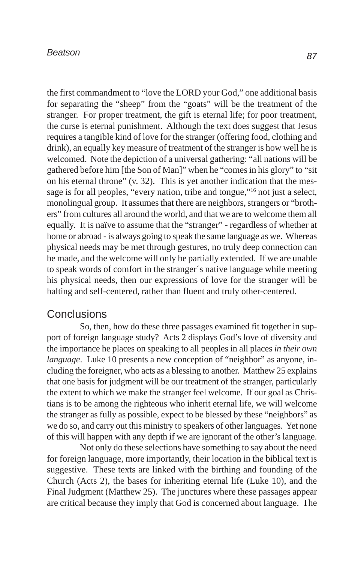#### *Beatson*

the first commandment to "love the LORD your God," one additional basis for separating the "sheep" from the "goats" will be the treatment of the stranger. For proper treatment, the gift is eternal life; for poor treatment, the curse is eternal punishment. Although the text does suggest that Jesus requires a tangible kind of love for the stranger (offering food, clothing and drink), an equally key measure of treatment of the stranger is how well he is welcomed. Note the depiction of a universal gathering: "all nations will be gathered before him [the Son of Man]" when he "comes in his glory" to "sit on his eternal throne" (v. 32). This is yet another indication that the message is for all peoples, "every nation, tribe and tongue,"16 not just a select, monolingual group. It assumes that there are neighbors, strangers or "brothers" from cultures all around the world, and that we are to welcome them all equally. It is naïve to assume that the "stranger" - regardless of whether at home or abroad - is always going to speak the same language as we. Whereas physical needs may be met through gestures, no truly deep connection can be made, and the welcome will only be partially extended. If we are unable to speak words of comfort in the stranger´s native language while meeting his physical needs, then our expressions of love for the stranger will be halting and self-centered, rather than fluent and truly other-centered.

### **Conclusions**

So, then, how do these three passages examined fit together in support of foreign language study? Acts 2 displays God's love of diversity and the importance he places on speaking to all peoples in all places *in their own language*. Luke 10 presents a new conception of "neighbor" as anyone, including the foreigner, who acts as a blessing to another. Matthew 25 explains that one basis for judgment will be our treatment of the stranger, particularly the extent to which we make the stranger feel welcome. If our goal as Christians is to be among the righteous who inherit eternal life, we will welcome the stranger as fully as possible, expect to be blessed by these "neighbors" as we do so, and carry out this ministry to speakers of other languages. Yet none of this will happen with any depth if we are ignorant of the other's language.

Not only do these selections have something to say about the need for foreign language, more importantly, their location in the biblical text is suggestive. These texts are linked with the birthing and founding of the Church (Acts 2), the bases for inheriting eternal life (Luke 10), and the Final Judgment (Matthew 25). The junctures where these passages appear are critical because they imply that God is concerned about language. The